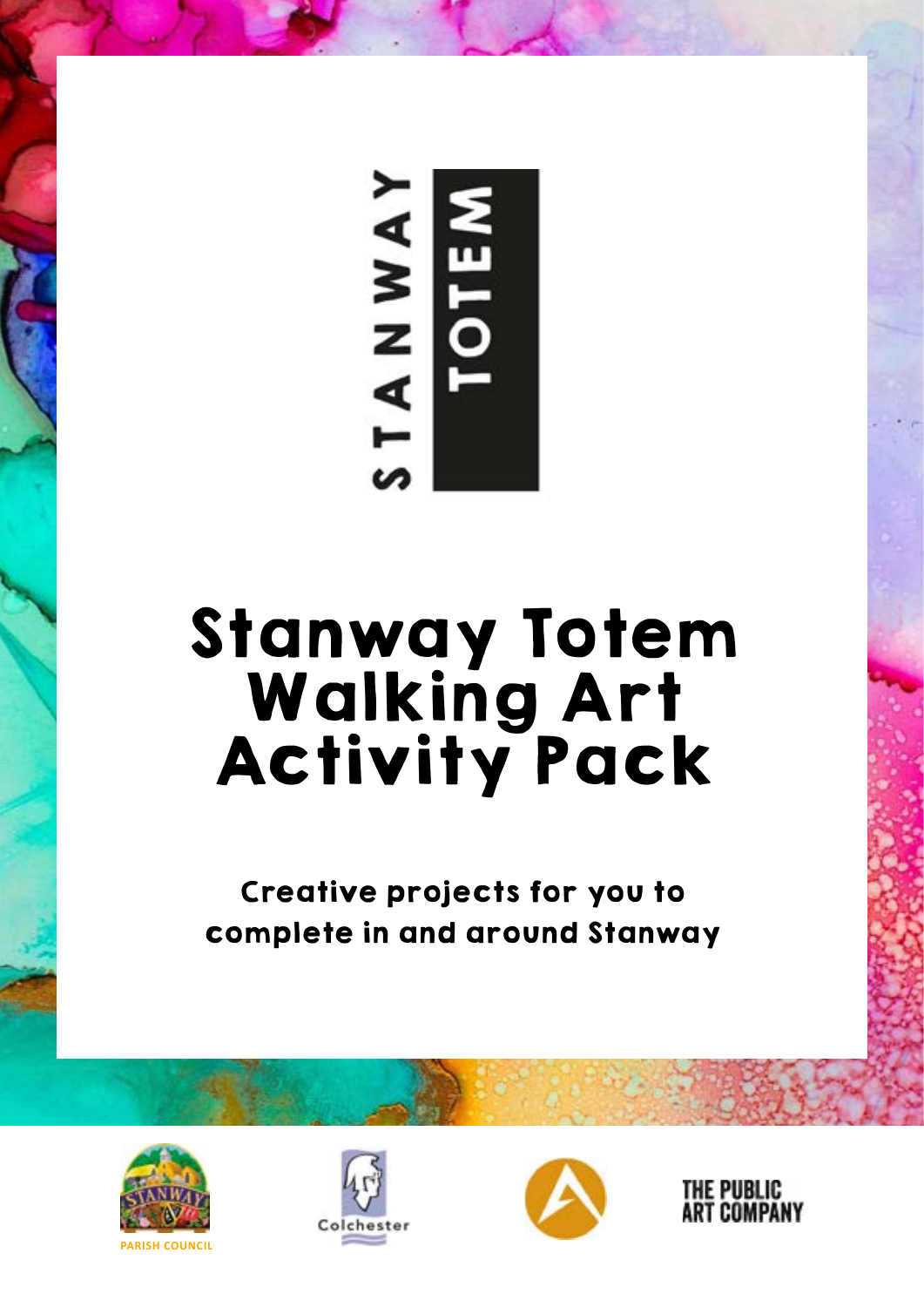

# Stanway Totem Walking Art Activity Pack

Creative projects for you to complete in and around Stanway







THE PUBLIC **ART COMPANY**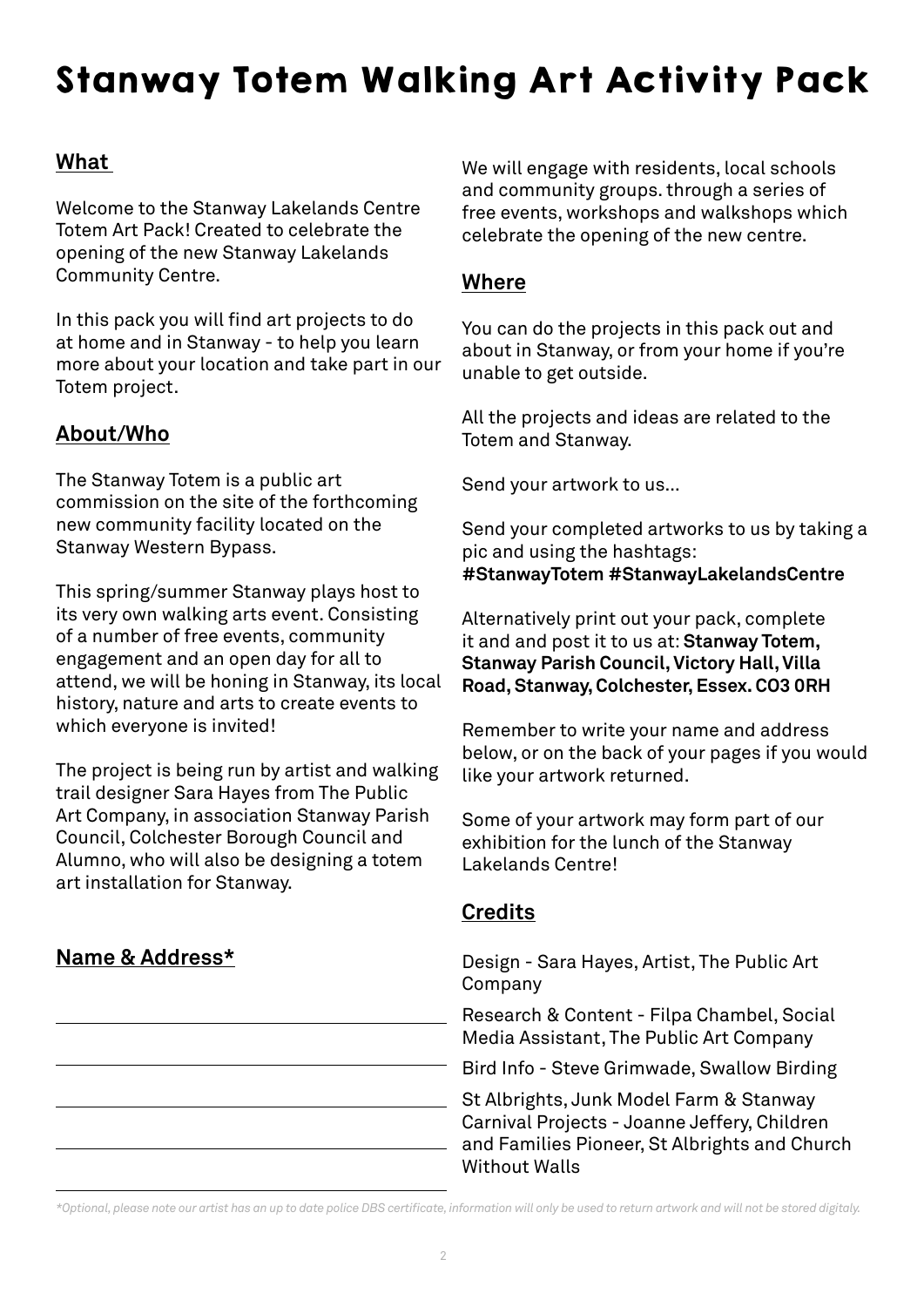# Stanway Totem Walking Art Activity Pack

### **What**

Welcome to the Stanway Lakelands Centre Totem Art Pack! Created to celebrate the opening of the new Stanway Lakelands Community Centre.

In this pack you will find art projects to do at home and in Stanway - to help you learn more about your location and take part in our Totem project.

#### **About/Who**

The Stanway Totem is a public art commission on the site of the forthcoming new community facility located on the Stanway Western Bypass.

This spring/summer Stanway plays host to its very own walking arts event. Consisting of a number of free events, community engagement and an open day for all to attend, we will be honing in Stanway, its local history, nature and arts to create events to which everyone is invited!

The project is being run by artist and walking trail designer Sara Hayes from The Public Art Company, in association Stanway Parish Council, Colchester Borough Council and Alumno, who will also be designing a totem art installation for Stanway.

### **Name & Address\***

We will engage with residents, local schools and community groups. through a series of free events, workshops and walkshops which celebrate the opening of the new centre.

#### **Where**

You can do the projects in this pack out and about in Stanway, or from your home if you're unable to get outside.

All the projects and ideas are related to the Totem and Stanway.

Send your artwork to us…

Send your completed artworks to us by taking a pic and using the hashtags: **#StanwayTotem #StanwayLakelandsCentre**

Alternatively print out your pack, complete it and and post it to us at: **Stanway Totem, Stanway Parish Council, Victory Hall, Villa Road, Stanway, Colchester, Essex. CO3 0RH**

Remember to write your name and address below, or on the back of your pages if you would like your artwork returned.

Some of your artwork may form part of our exhibition for the lunch of the Stanway Lakelands Centre!

### **Credits**

Design - Sara Hayes, Artist, The Public Art Company

Research & Content - Filpa Chambel, Social Media Assistant, The Public Art Company

Bird Info - Steve Grimwade, Swallow Birding

St Albrights, Junk Model Farm & Stanway Carnival Projects - Joanne Jeffery, Children and Families Pioneer, St Albrights and Church Without Walls

*\*Optional, please note our artist has an up to date police DBS certificate, information will only be used to return artwork and will not be stored digitaly.*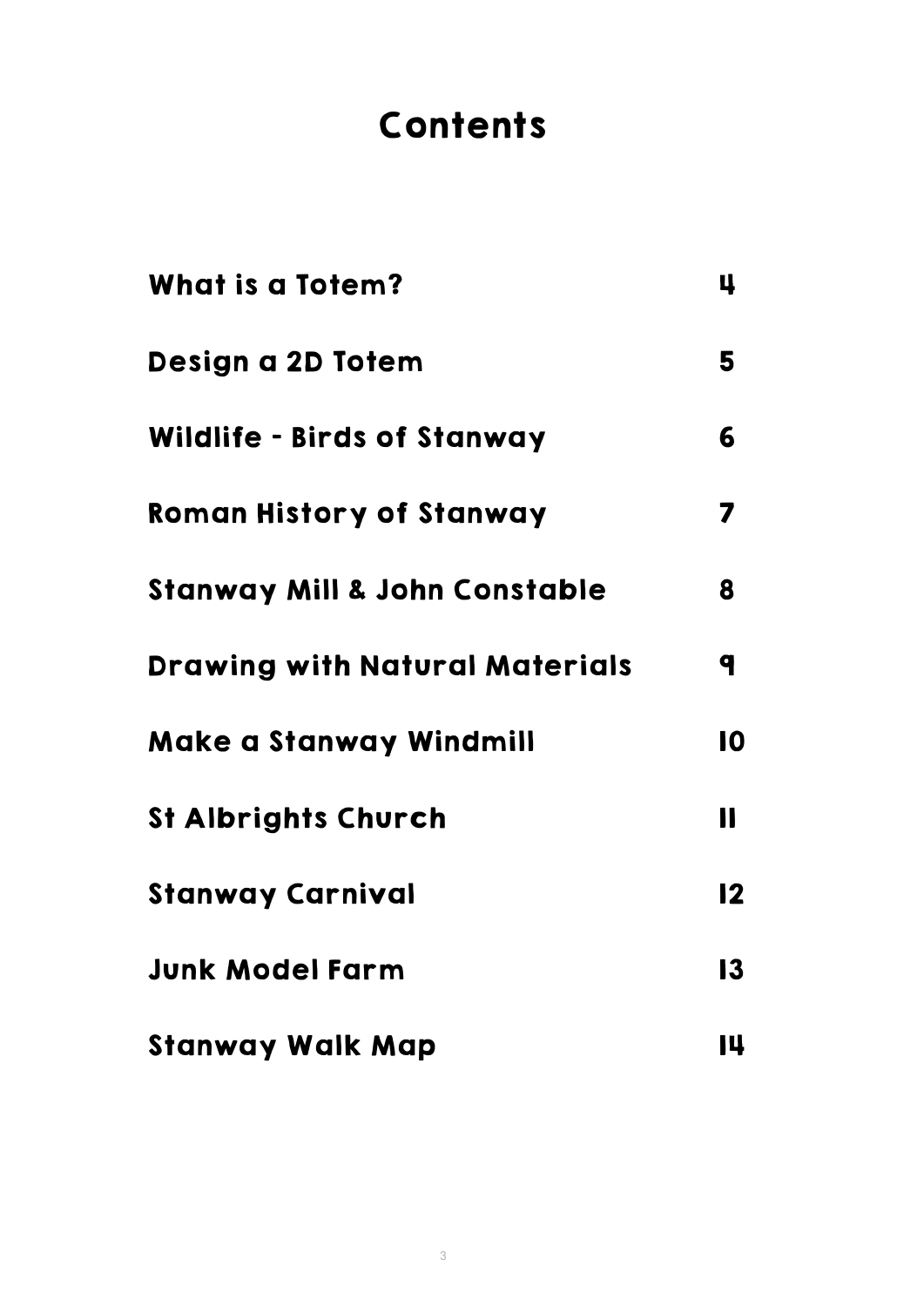### **Contents**

| <b>What is a Totem?</b>                  | 4            |
|------------------------------------------|--------------|
| Design a 2D Totem                        | 5            |
| <b>Wildlife - Birds of Stanway</b>       | 6            |
| <b>Roman History of Stanway</b>          | 7            |
| <b>Stanway Mill &amp; John Constable</b> | 8            |
| <b>Drawing with Natural Materials</b>    | q            |
| <b>Make a Stanway Windmill</b>           | 10           |
| <b>St Albrights Church</b>               | $\mathbf{I}$ |
| <b>Stanway Carnival</b>                  | 12           |
| <b>Junk Model Farm</b>                   | 13           |
| <b>Stanway Walk Map</b>                  | 14           |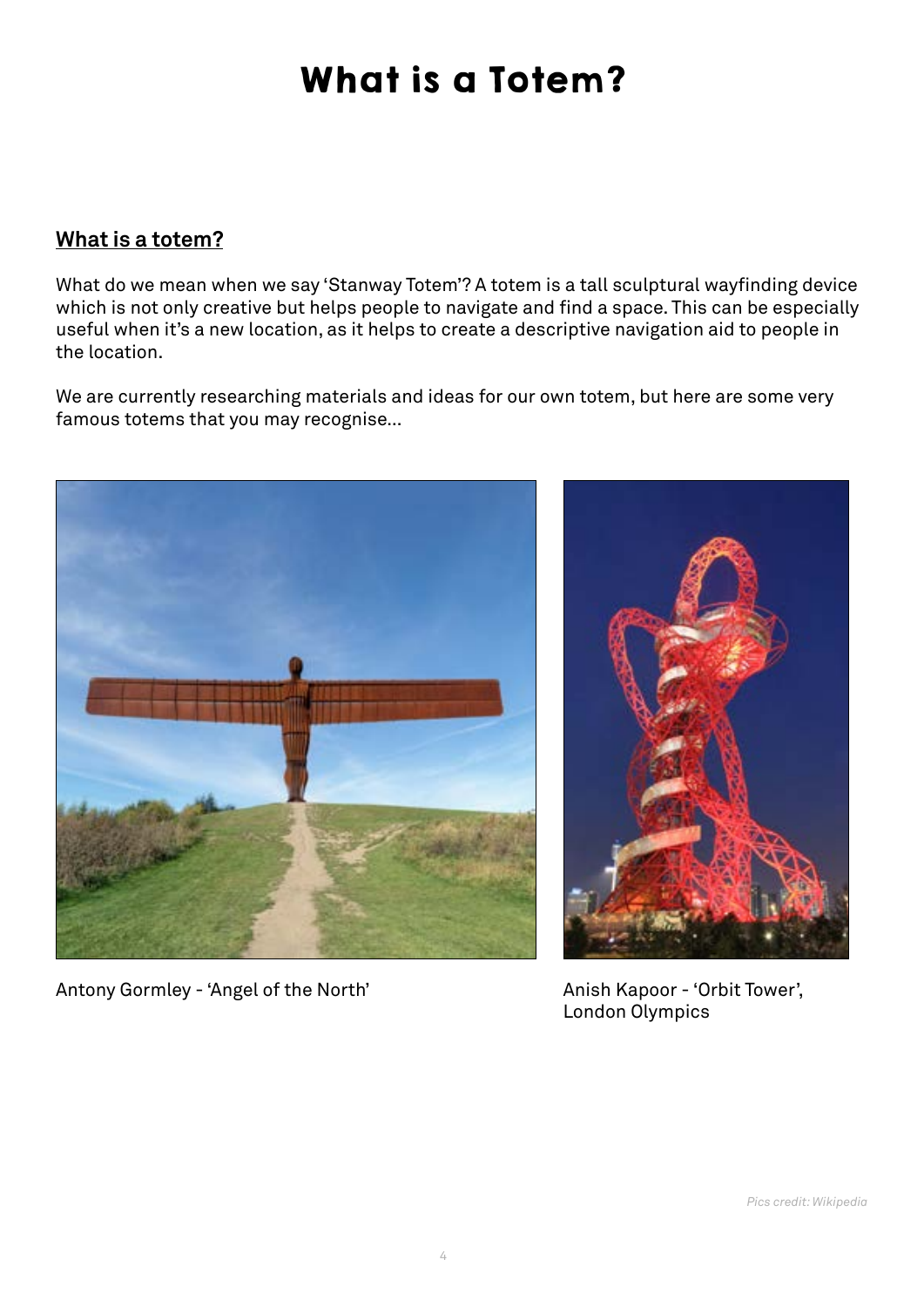### What is a Totem?

#### **What is a totem?**

What do we mean when we say 'Stanway Totem'? A totem is a tall sculptural wayfinding device which is not only creative but helps people to navigate and find a space. This can be especially useful when it's a new location, as it helps to create a descriptive navigation aid to people in the location.

We are currently researching materials and ideas for our own totem, but here are some very famous totems that you may recognise…



Antony Gormley - 'Angel of the North' Anish Kapoor - 'Orbit Tower',



London Olympics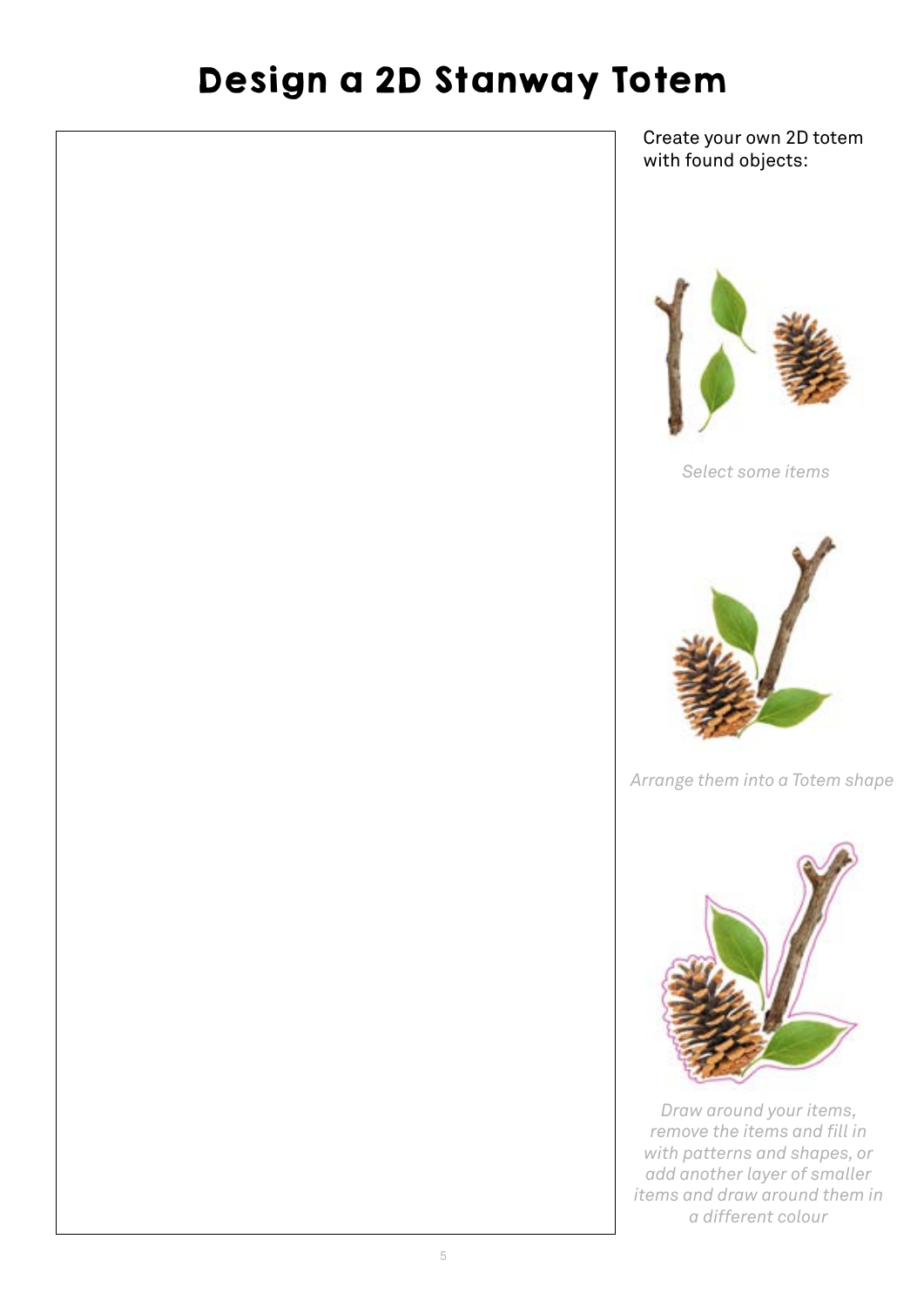### Design a 2D Stanway Totem

Create your own 2D totem with found objects:



*Select some items*



*Arrange them into a Totem shape*



*Draw around your items, remove the items and fill in with patterns and shapes, or add another layer of smaller items and draw around them in a different colour*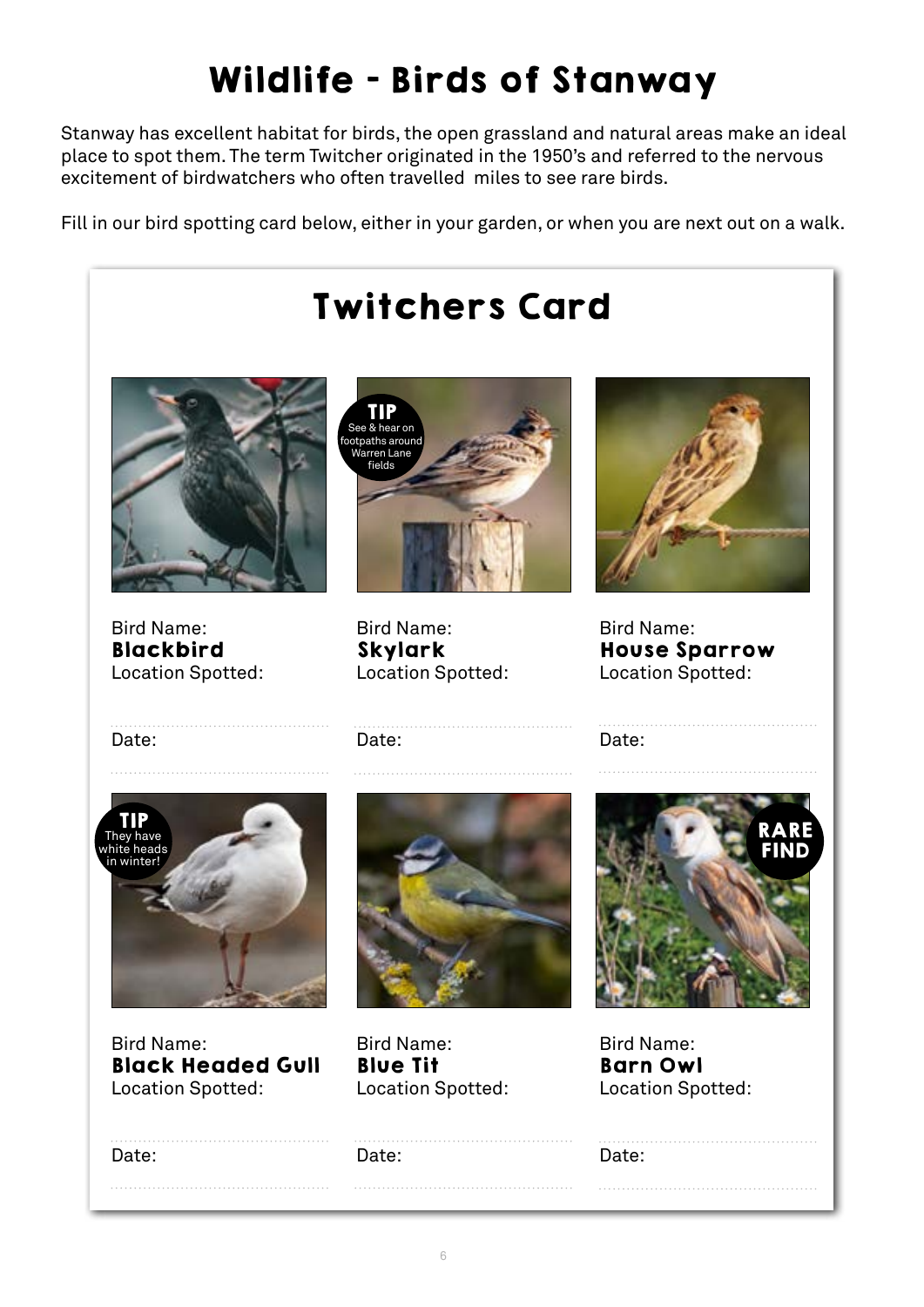# Wildlife - Birds of Stanway

Stanway has excellent habitat for birds, the open grassland and natural areas make an ideal place to spot them. The term Twitcher originated in the 1950's and referred to the nervous excitement of birdwatchers who often travelled miles to see rare birds.

Fill in our bird spotting card below, either in your garden, or when you are next out on a walk.

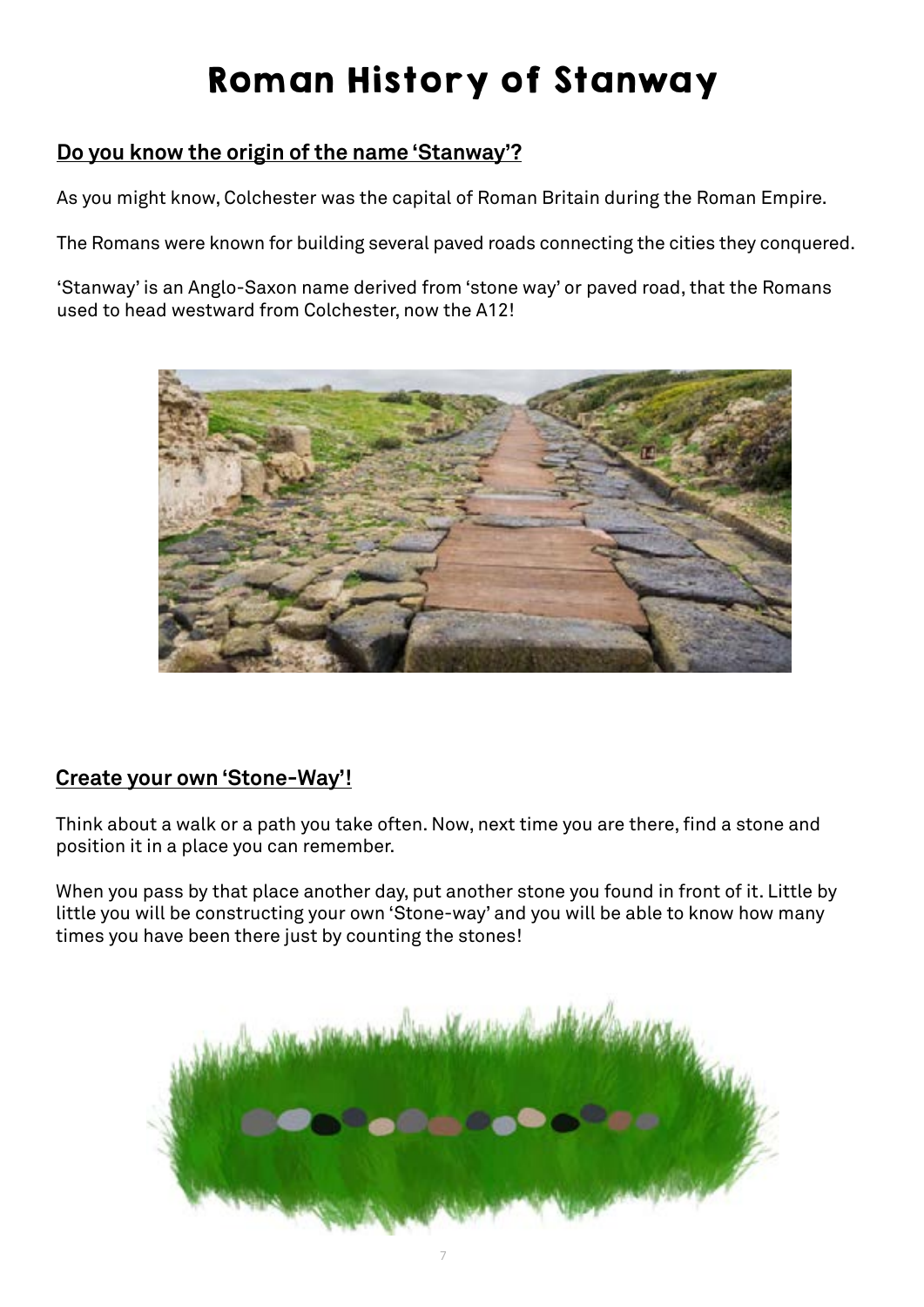## Roman History of Stanway

### **Do you know the origin of the name 'Stanway'?**

As you might know, Colchester was the capital of Roman Britain during the Roman Empire.

The Romans were known for building several paved roads connecting the cities they conquered.

'Stanway' is an Anglo-Saxon name derived from 'stone way' or paved road, that the Romans used to head westward from Colchester, now the A12!

![](_page_6_Picture_5.jpeg)

#### **Create your own 'Stone-Way'!**

Think about a walk or a path you take often. Now, next time you are there, find a stone and position it in a place you can remember.

When you pass by that place another day, put another stone you found in front of it. Little by little you will be constructing your own 'Stone-way' and you will be able to know how many times you have been there just by counting the stones!

![](_page_6_Picture_9.jpeg)

7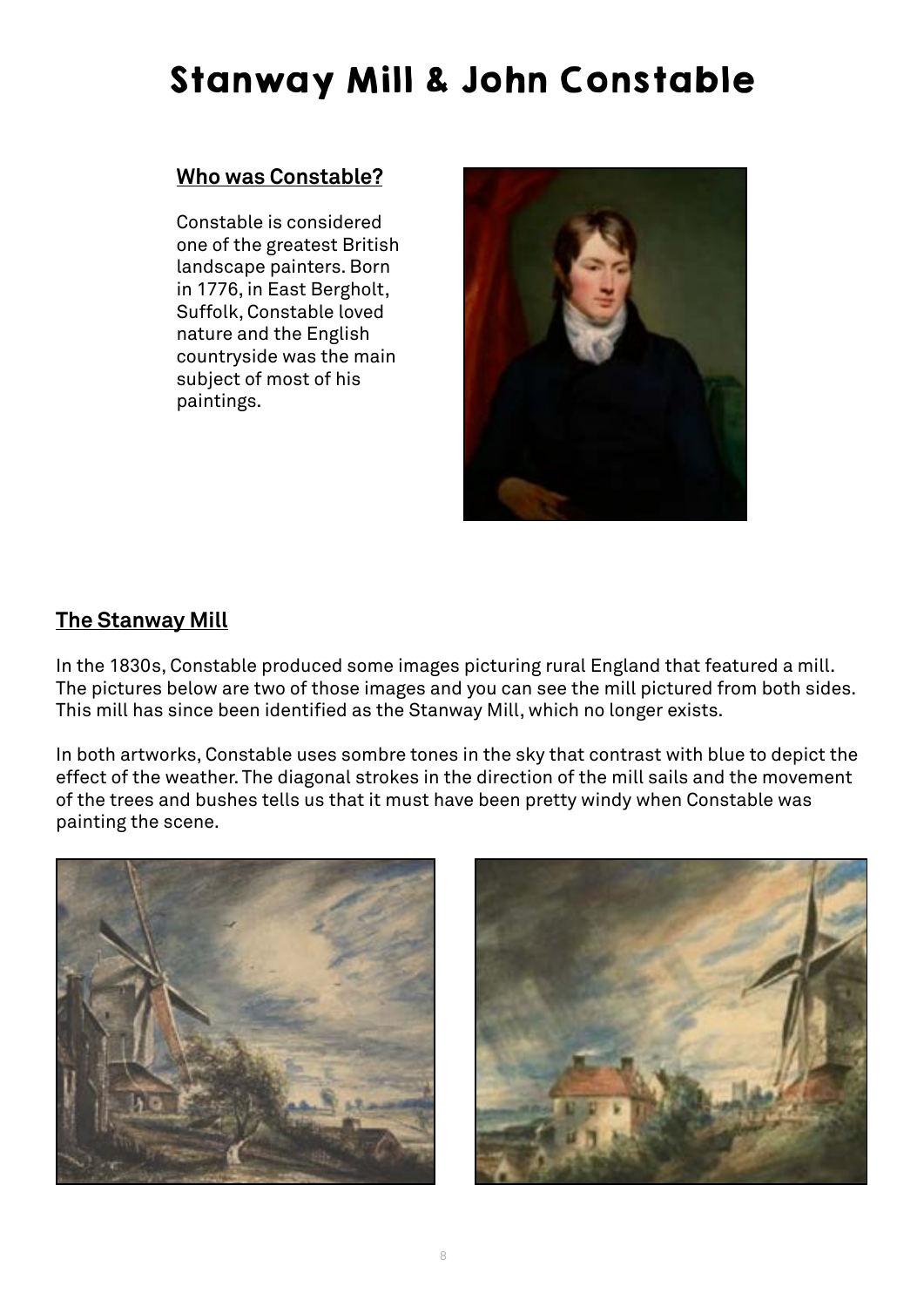### Stanway Mill & John Constable

#### **Who was Constable?**

Constable is considered one of the greatest British landscape painters. Born in 1776, in East Bergholt, Suffolk, Constable loved nature and the English countryside was the main subject of most of his paintings.

![](_page_7_Picture_3.jpeg)

#### **The Stanway Mill**

In the 1830s, Constable produced some images picturing rural England that featured a mill. The pictures below are two of those images and you can see the mill pictured from both sides. This mill has since been identified as the Stanway Mill, which no longer exists.

In both artworks, Constable uses sombre tones in the sky that contrast with blue to depict the effect of the weather. The diagonal strokes in the direction of the mill sails and the movement of the trees and bushes tells us that it must have been pretty windy when Constable was painting the scene.

![](_page_7_Picture_7.jpeg)

![](_page_7_Picture_8.jpeg)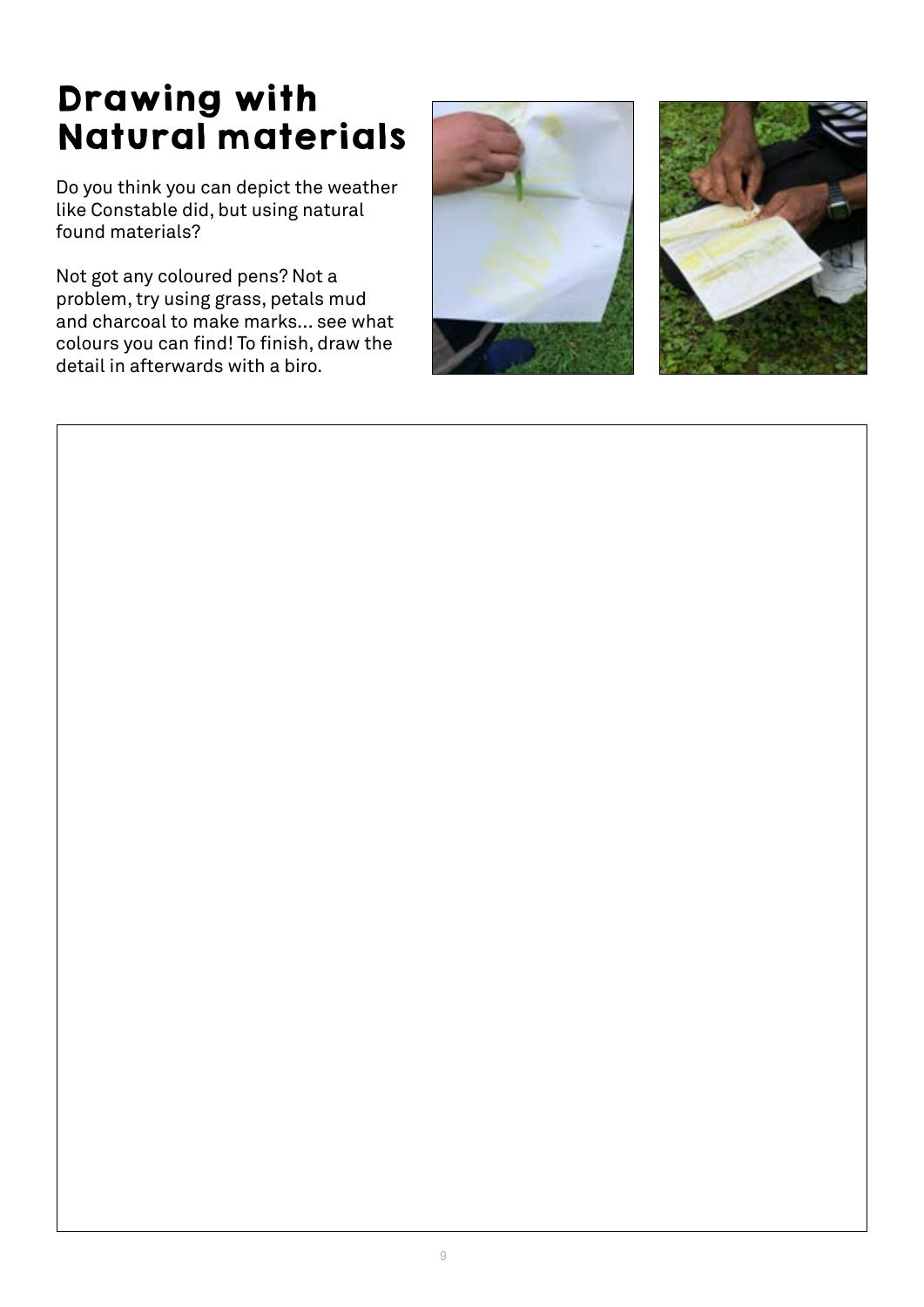### Drawing with Natural materials

Do you think you can depict the weather like Constable did, but using natural found materials?

Not got any coloured pens? Not a problem, try using grass, petals mud and charcoal to make marks... see what colours you can find! To finish, draw the detail in afterwards with a biro.

![](_page_8_Picture_3.jpeg)

![](_page_8_Picture_4.jpeg)

![](_page_8_Picture_5.jpeg)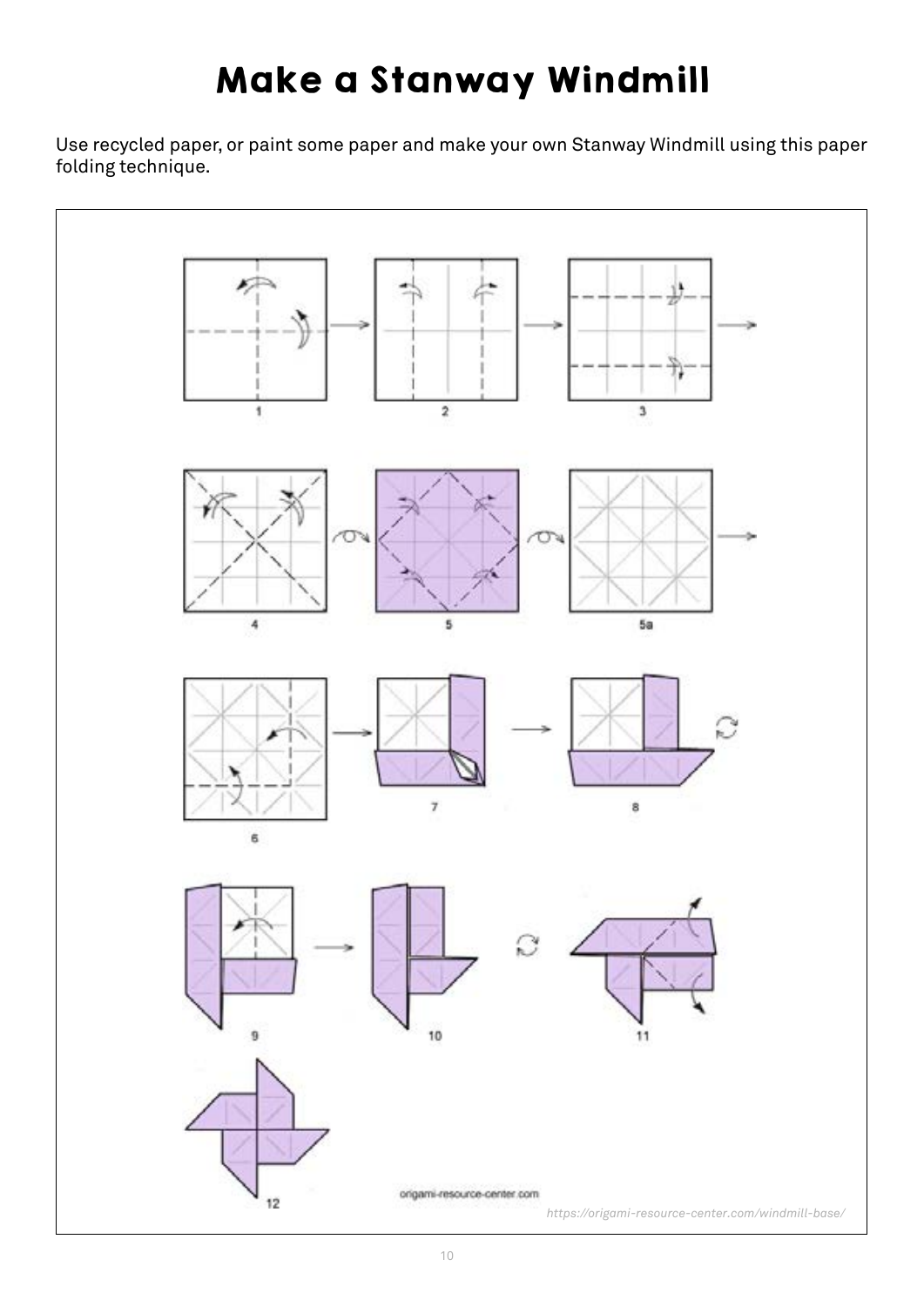# Make a Stanway Windmill

Use recycled paper, or paint some paper and make your own Stanway Windmill using this paper folding technique.

![](_page_9_Figure_2.jpeg)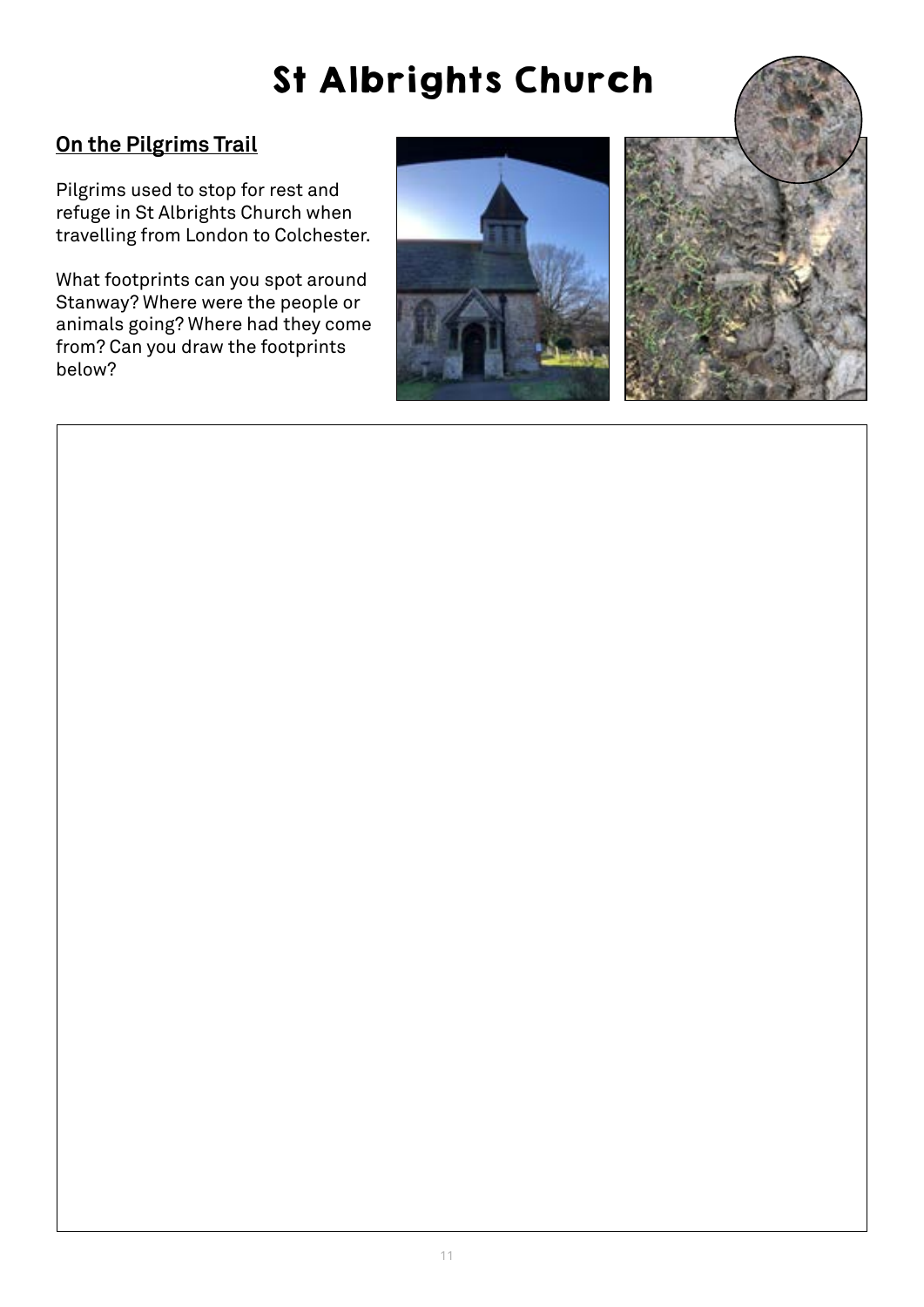# St Albrights Church

### **On the Pilgrims Trail**

Pilgrims used to stop for rest and refuge in St Albrights Church when travelling from London to Colchester.

What footprints can you spot around Stanway? Where were the people or animals going? Where had they come from? Can you draw the footprints below?

![](_page_10_Picture_4.jpeg)

![](_page_10_Picture_5.jpeg)

![](_page_10_Picture_6.jpeg)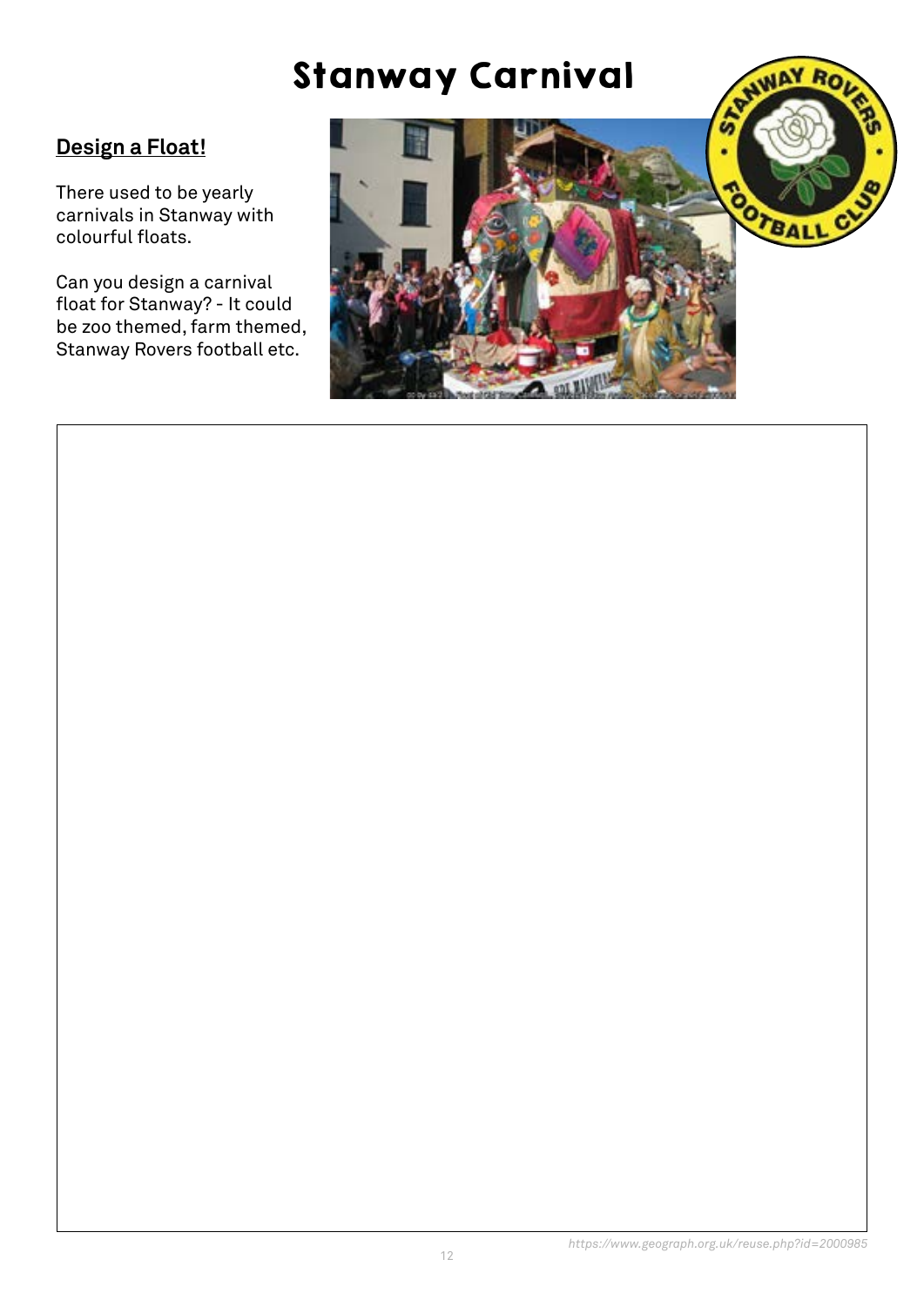### Stanway Carnival

### **Design a Float!**

There used to be yearly carnivals in Stanway with colourful floats.

Can you design a carnival float for Stanway? - It could be zoo themed, farm themed, Stanway Rovers football etc.

![](_page_11_Picture_4.jpeg)

![](_page_11_Picture_5.jpeg)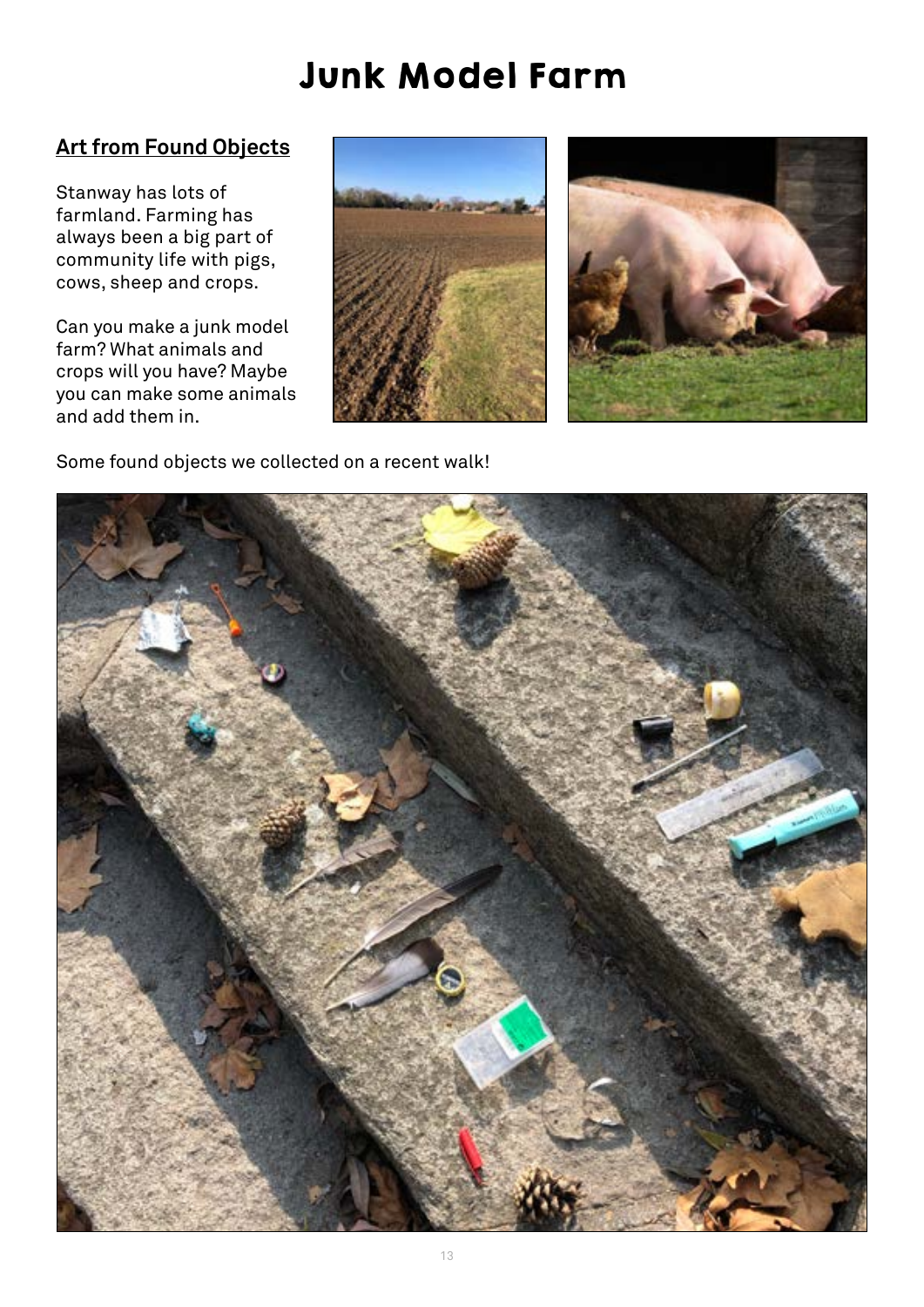### Junk Model Farm

### **Art from Found Objects**

Stanway has lots of farmland. Farming has always been a big part of community life with pigs, cows, sheep and crops.

Can you make a junk model farm? What animals and crops will you have? Maybe you can make some animals and add them in.

![](_page_12_Picture_4.jpeg)

![](_page_12_Picture_5.jpeg)

Some found objects we collected on a recent walk!

![](_page_12_Picture_7.jpeg)